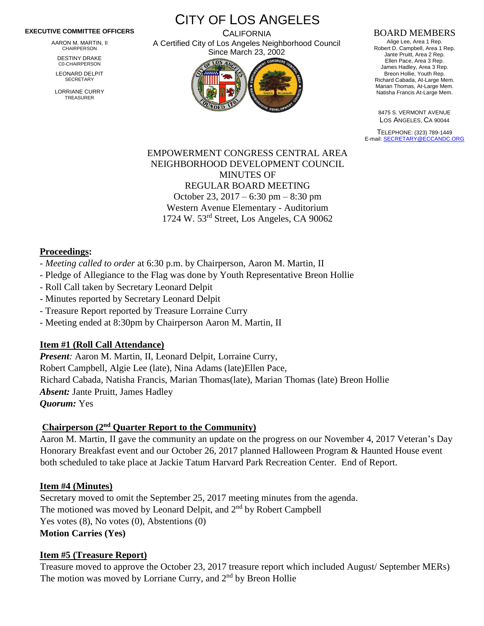#### **EXECUTIVE COMMITTEE OFFICERS**

AARON M. MARTIN, II CHAIRPERSON

DESTINY DRAKE C0-CHAIRPERSON

LEONARD DELPIT **SECRETARY** 

LORRIANE CURRY TREASURER

CITY OF LOS ANGELES **CALIFORNIA** A Certified City of Los Angeles Neighborhood Council

Since March 23, 2002

#### BOARD MEMBERS

Alige Lee, Area 1 Rep. Robert D. Campbell, Area 1 Rep. Jante Pruitt, Area 2 Rep. Ellen Pace, Area 3 Rep. James Hadley, Area 3 Rep. Breon Hollie, Youth Rep. Richard Cabada, At-Large Mem. Marian Thomas, At-Large Mem. Natisha Francis At-Large Mem.

8475 S. VERMONT AVENUE LOS ANGELES, CA 90044

TELEPHONE: (323) 789-1449 E-mail[: SECRETARY@ECCANDC.ORG](mailto:SECRETARY@ECCANDC.ORG)

#### EMPOWERMENT CONGRESS CENTRAL AREA NEIGHBORHOOD DEVELOPMENT COUNCIL MINUTES OF REGULAR BOARD MEETING October 23, 2017 – 6:30 pm – 8:30 pm Western Avenue Elementary - Auditorium 1724 W. 53rd Street, Los Angeles, CA 90062

#### **Proceedings:**

- *Meeting called to order* at 6:30 p.m. by Chairperson, Aaron M. Martin, II
- Pledge of Allegiance to the Flag was done by Youth Representative Breon Hollie
- Roll Call taken by Secretary Leonard Delpit
- Minutes reported by Secretary Leonard Delpit
- Treasure Report reported by Treasure Lorraine Curry
- Meeting ended at 8:30pm by Chairperson Aaron M. Martin, II

#### **Item #1 (Roll Call Attendance)**

*Present:* Aaron M. Martin, II, Leonard Delpit, Lorraine Curry, Robert Campbell, Algie Lee (late), Nina Adams (late)Ellen Pace, Richard Cabada, Natisha Francis, Marian Thomas(late), Marian Thomas (late) Breon Hollie *Absent:* Jante Pruitt, James Hadley *Quorum:* Yes

#### **Chairperson (2nd Quarter Report to the Community)**

Aaron M. Martin, II gave the community an update on the progress on our November 4, 2017 Veteran's Day Honorary Breakfast event and our October 26, 2017 planned Halloween Program & Haunted House event both scheduled to take place at Jackie Tatum Harvard Park Recreation Center. End of Report.

#### **Item #4 (Minutes)**

Secretary moved to omit the September 25, 2017 meeting minutes from the agenda. The motioned was moved by Leonard Delpit, and 2<sup>nd</sup> by Robert Campbell Yes votes  $(8)$ , No votes  $(0)$ , Abstentions  $(0)$ **Motion Carries (Yes)**

#### **Item #5 (Treasure Report)**

Treasure moved to approve the October 23, 2017 treasure report which included August/ September MERs) The motion was moved by Lorriane Curry, and 2<sup>nd</sup> by Breon Hollie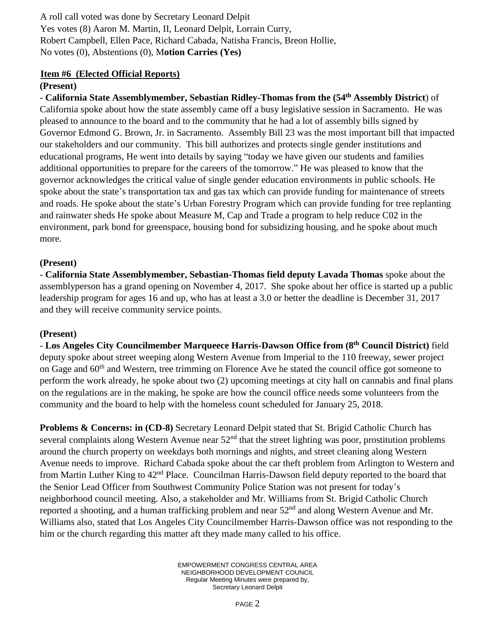A roll call voted was done by Secretary Leonard Delpit Yes votes (8) Aaron M. Martin, II, Leonard Delpit, Lorrain Curry, Robert Campbell, Ellen Pace, Richard Cabada, Natisha Francis, Breon Hollie, No votes (0), Abstentions (0), M**otion Carries (Yes)**

#### **Item #6 (Elected Official Reports)**

#### **(Present)**

- **California State Assemblymember, Sebastian Ridley-Thomas from the (54th Assembly District**) of California spoke about how the state assembly came off a busy legislative session in Sacramento. He was pleased to announce to the board and to the community that he had a lot of assembly bills signed by Governor Edmond G. Brown, Jr. in Sacramento. Assembly Bill 23 was the most important bill that impacted our stakeholders and our community. This bill authorizes and protects single gender institutions and educational programs, He went into details by saying "today we have given our students and families additional opportunities to prepare for the careers of the tomorrow." He was pleased to know that the governor acknowledges the critical value of single gender education environments in public schools. He spoke about the state's transportation tax and gas tax which can provide funding for maintenance of streets and roads. He spoke about the state's Urban Forestry Program which can provide funding for tree replanting and rainwater sheds He spoke about Measure M, Cap and Trade a program to help reduce C02 in the environment, park bond for greenspace, housing bond for subsidizing housing, and he spoke about much more.

#### **(Present)**

- **California State Assemblymember, Sebastian-Thomas field deputy Lavada Thomas** spoke about the assemblyperson has a grand opening on November 4, 2017. She spoke about her office is started up a public leadership program for ages 16 and up, who has at least a 3.0 or better the deadline is December 31, 2017 and they will receive community service points.

# **(Present)**

- **Los Angeles City Councilmember Marqueece Harris-Dawson Office from (8th Council District)** field deputy spoke about street weeping along Western Avenue from Imperial to the 110 freeway, sewer project on Gage and  $60<sup>th</sup>$  and Western, tree trimming on Florence Ave he stated the council office got someone to perform the work already, he spoke about two (2) upcoming meetings at city hall on cannabis and final plans on the regulations are in the making, he spoke are how the council office needs some volunteers from the community and the board to help with the homeless count scheduled for January 25, 2018.

**Problems & Concerns: in (CD-8)** Secretary Leonard Delpit stated that St. Brigid Catholic Church has several complaints along Western Avenue near  $52<sup>nd</sup>$  that the street lighting was poor, prostitution problems around the church property on weekdays both mornings and nights, and street cleaning along Western Avenue needs to improve. Richard Cabada spoke about the car theft problem from Arlington to Western and from Martin Luther King to 42<sup>nd</sup> Place. Councilman Harris-Dawson field deputy reported to the board that the Senior Lead Officer from Southwest Community Police Station was not present for today's neighborhood council meeting. Also, a stakeholder and Mr. Williams from St. Brigid Catholic Church reported a shooting, and a human trafficking problem and near  $52<sup>nd</sup>$  and along Western Avenue and Mr. Williams also, stated that Los Angeles City Councilmember Harris-Dawson office was not responding to the him or the church regarding this matter aft they made many called to his office.

> EMPOWERMENT CONGRESS CENTRAL AREA NEIGHBORHOOD DEVELOPMENT COUNCIL Regular Meeting Minutes were prepared by, Secretary Leonard Delpit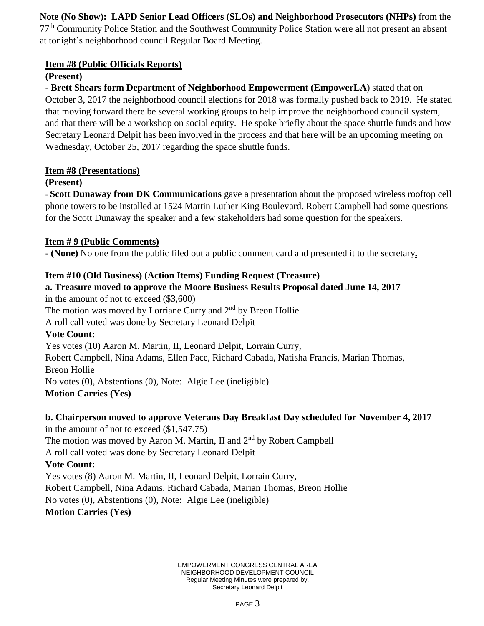# **Note (No Show): LAPD Senior Lead Officers (SLOs) and Neighborhood Prosecutors (NHPs)** from the

77th Community Police Station and the Southwest Community Police Station were all not present an absent at tonight's neighborhood council Regular Board Meeting.

#### **Item #8 (Public Officials Reports)**

### **(Present)**

- **Brett Shears form Department of Neighborhood Empowerment (EmpowerLA**) stated that on October 3, 2017 the neighborhood council elections for 2018 was formally pushed back to 2019. He stated that moving forward there be several working groups to help improve the neighborhood council system, and that there will be a workshop on social equity. He spoke briefly about the space shuttle funds and how Secretary Leonard Delpit has been involved in the process and that here will be an upcoming meeting on Wednesday, October 25, 2017 regarding the space shuttle funds.

#### **Item #8 (Presentations)**

### **(Present)**

- **Scott Dunaway from DK Communications** gave a presentation about the proposed wireless rooftop cell phone towers to be installed at 1524 Martin Luther King Boulevard. Robert Campbell had some questions for the Scott Dunaway the speaker and a few stakeholders had some question for the speakers.

### **Item # 9 (Public Comments)**

- **(None)** No one from the public filed out a public comment card and presented it to the secretary**.**

#### **Item #10 (Old Business) (Action Items) Funding Request (Treasure)**

# **a. Treasure moved to approve the Moore Business Results Proposal dated June 14, 2017**

in the amount of not to exceed (\$3,600) The motion was moved by Lorriane Curry and 2<sup>nd</sup> by Breon Hollie

A roll call voted was done by Secretary Leonard Delpit

# **Vote Count:**

Yes votes (10) Aaron M. Martin, II, Leonard Delpit, Lorrain Curry, Robert Campbell, Nina Adams, Ellen Pace, Richard Cabada, Natisha Francis, Marian Thomas, Breon Hollie No votes (0), Abstentions (0), Note: Algie Lee (ineligible) **Motion Carries (Yes)**

# **b. Chairperson moved to approve Veterans Day Breakfast Day scheduled for November 4, 2017**

in the amount of not to exceed (\$1,547.75) The motion was moved by Aaron M. Martin, II and 2<sup>nd</sup> by Robert Campbell A roll call voted was done by Secretary Leonard Delpit

# **Vote Count:**

Yes votes (8) Aaron M. Martin, II, Leonard Delpit, Lorrain Curry, Robert Campbell, Nina Adams, Richard Cabada, Marian Thomas, Breon Hollie No votes (0), Abstentions (0), Note: Algie Lee (ineligible) **Motion Carries (Yes)**

> EMPOWERMENT CONGRESS CENTRAL AREA NEIGHBORHOOD DEVELOPMENT COUNCIL Regular Meeting Minutes were prepared by, Secretary Leonard Delpit